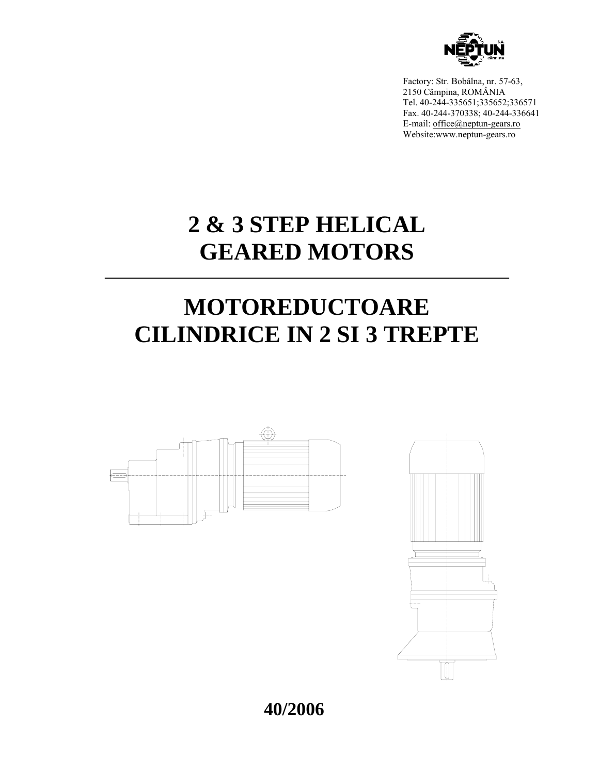

Factory: Str. Bobâlna, nr. 57-63, 2150 Câmpina, ROMÂNIA Tel. 40-244-335651;335652;336571 Fax. 40-244-370338; 40-244-336641 E-mail: office@neptun-gears.ro Website:www.neptun-gears.ro

# **2 & 3 STEP HELICAL GEARED MOTORS**

# **MOTOREDUCTOARE CILINDRICE IN 2 SI 3 TREPTE**





**40/2006**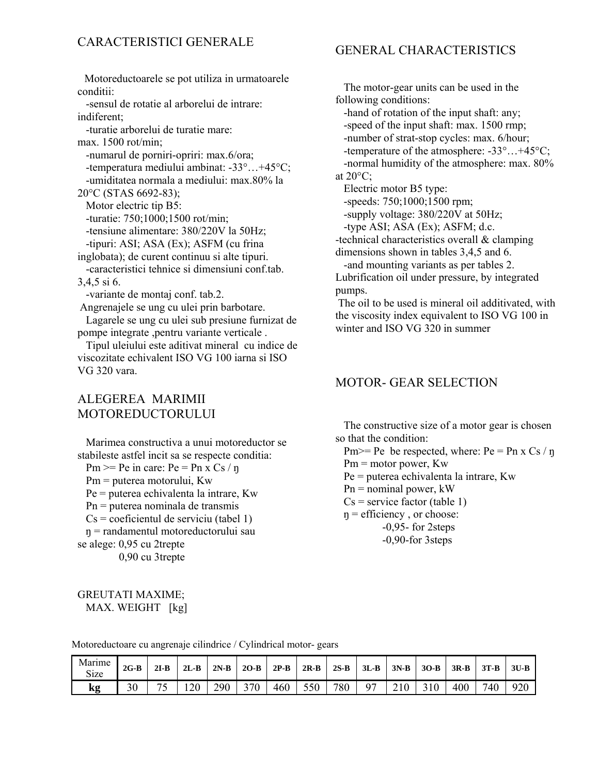### GENERAL CHARACTERISTICS

 Motoreductoarele se pot utiliza in urmatoarele conditii:

 -sensul de rotatie al arborelui de intrare: indiferent;

 -turatie arborelui de turatie mare: max. 1500 rot/min; -numarul de porniri-opriri: max.6/ora; -temperatura mediului ambinat: -33°…+45°C; -umiditatea normala a mediului: max.80% la 20°C (STAS 6692-83); Motor electric tip B5: -turatie: 750;1000;1500 rot/min; -tensiune alimentare: 380/220V la 50Hz; -tipuri: ASI; ASA (Ex); ASFM (cu frina inglobata); de curent continuu si alte tipuri. -caracteristici tehnice si dimensiuni conf tab. 3,4,5 si 6. -variante de montaj conf. tab.2. Angrenajele se ung cu ulei prin barbotare. Lagarele se ung cu ulei sub presiune furnizat de pompe integrate ,pentru variante verticale .

 Tipul uleiului este aditivat mineral cu indice de viscozitate echivalent ISO VG 100 iarna si ISO VG 320 vara.

## ALEGEREA MARIMII MOTOREDUCTORULUI

 Marimea constructiva a unui motoreductor se stabileste astfel incit sa se respecte conditia:

Pm  $>=$  Pe in care: Pe = Pn x Cs / n Pm = puterea motorului, Kw

 Pe = puterea echivalenta la intrare, Kw Pn = puterea nominala de transmis  $Cs = coefficientul$  de serviciu (tabel 1) ŋ = randamentul motoreductorului sau se alege: 0,95 cu 2trepte

0,90 cu 3trepte

 The motor-gear units can be used in the following conditions:

-hand of rotation of the input shaft: any;

-speed of the input shaft: max. 1500 rmp;

-number of strat-stop cycles: max. 6/hour;

 -temperature of the atmosphere: -33°…+45°C; -normal humidity of the atmosphere: max. 80% at  $20^{\circ}$ C;

Electric motor B5 type:

-speeds: 750;1000;1500 rpm;

-supply voltage: 380/220V at 50Hz;

-type ASI; ASA (Ex); ASFM; d.c.

-technical characteristics overall & clamping dimensions shown in tables 3,4,5 and 6.

-and mounting variants as per tables 2.

Lubrification oil under pressure, by integrated pumps.

 The oil to be used is mineral oil additivated, with the viscosity index equivalent to ISO VG 100 in winter and ISO VG 320 in summer

### MOTOR- GEAR SELECTION

 The constructive size of a motor gear is chosen so that the condition:

Pm $>=$  Pe be respected, where: Pe = Pn x Cs / ŋ Pm = motor power, Kw

Pe = puterea echivalenta la intrare, Kw

 $Pn =$  nominal power, kW

 $Cs$  = service factor (table 1)

 $\eta$  = efficiency, or choose:

-0,95- for 2steps

-0,90-for 3steps

| <b>GREUTATI MAXIME;</b> |  |
|-------------------------|--|
| MAX. WEIGHT [kg]        |  |

Motoreductoare cu angrenaje cilindrice / Cylindrical motor- gears

| Marime<br>Size | $2G-B$ | $2I-B$                         | $2L-B$ | $2N-B$ | $2O-B$ | $2P-B$ | $2R-B$ | $2S-B$ | $3L-B$ | $3N-B$ | $3O-B$ | $3R-B$ | $3T-B$ | $3U-B$ |
|----------------|--------|--------------------------------|--------|--------|--------|--------|--------|--------|--------|--------|--------|--------|--------|--------|
| kg             | 30     | Πc<br>$\overline{\phantom{0}}$ | 20     | 290    | 370    | 460    | 550    | 780    | Q7     | ∼      |        | 400    | 740    | 920    |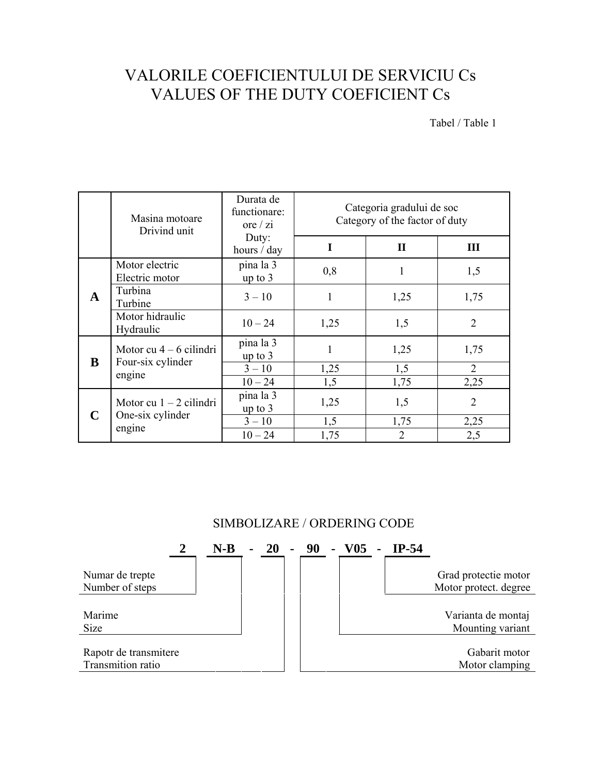# VALORILE COEFICIENTULUI DE SERVICIU Cs VALUES OF THE DUTY COEFICIENT Cs

Tabel / Table 1

|   | Masina motoare<br>Drivind unit   | Durata de<br>functionare:<br>ore $/zi$ |             | Categoria gradului de soc<br>Category of the factor of duty |                        |
|---|----------------------------------|----------------------------------------|-------------|-------------------------------------------------------------|------------------------|
|   |                                  | Duty:<br>hours / day                   | $\mathbf I$ | $\mathbf{I}$                                                | III                    |
|   | Motor electric<br>Electric motor | pina la 3<br>up to 3                   | 0,8         | 1                                                           | 1,5                    |
| A | Turbina<br>Turbine               | $3 - 10$                               | 1           | 1,25                                                        | 1,75                   |
|   | Motor hidraulic<br>Hydraulic     | $10 - 24$                              | 1,25        | 1,5                                                         | $\overline{2}$         |
| B | Motor cu $4 - 6$ cilindri        | pina la 3<br>up to $3$                 | 1           | 1,25                                                        | 1,75                   |
|   | Four-six cylinder<br>engine      | $3 - 10$<br>$10 - 24$                  | 1,25<br>1,5 | 1,5<br>1,75                                                 | $\overline{2}$<br>2,25 |
|   | Motor cu $1 - 2$ cilindri        | pina la 3<br>up to $3$                 | 1,25        | 1,5                                                         | $\overline{2}$         |
| C | One-six cylinder<br>engine       | $3 - 10$<br>$10 - 24$                  | 1,5<br>1,75 | 1,75<br>$\overline{2}$                                      | 2,25<br>2,5            |

## SIMBOLIZARE / ORDERING CODE

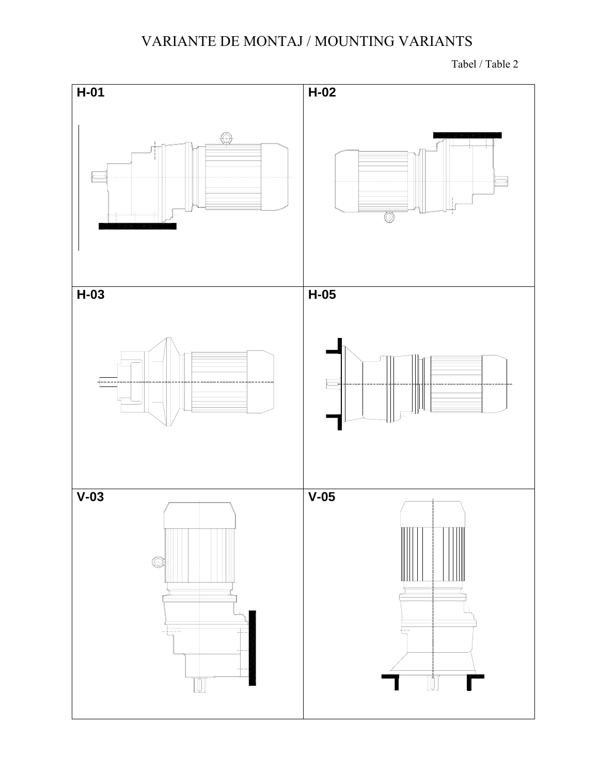# VARIANTE DE MONTAJ / MOUNTING VARIANTS

Tabel / Table 2

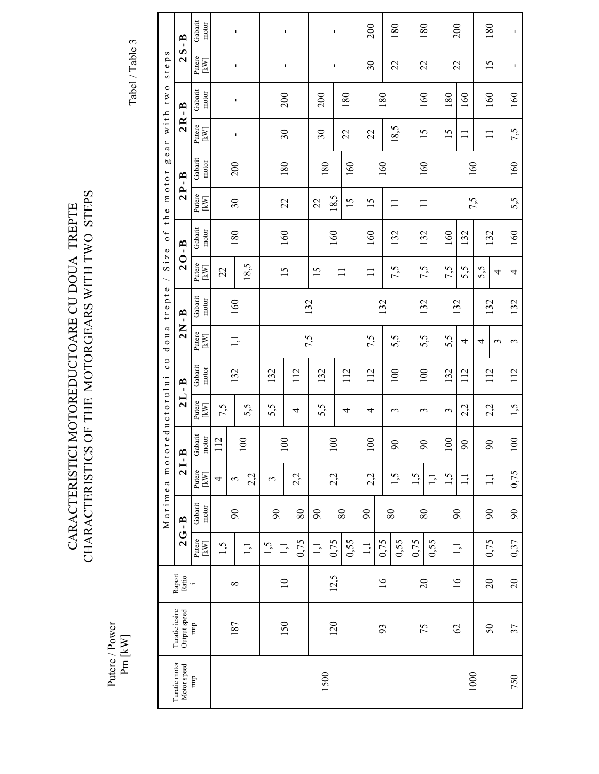# CARACTERISTICI MOTOREDUCTOARE CU DOUA TREPTE CHARACTERISTICS OF THE MOTORGEARS WITH TWO STEPS CHARACTERISTICS OF THE MOTORGEARS WITH TWO STEPS CARACTERISTICI MOTOREDUCTOARE CU DOUA TREPTE

Putere / Power Putere / Power<br>Pm  $\left[\text{kW}\right]$ 

Tabel / Table 3 Tabel / Table 3

|                              |                                |                          |                                      | Marimea                    | m o t          |                  | oreductorului  | <b>UC</b>        |                  | doua trepte      |                 | Size of the motor |                 |                  | gear with two            |                  | steps          |                  |
|------------------------------|--------------------------------|--------------------------|--------------------------------------|----------------------------|----------------|------------------|----------------|------------------|------------------|------------------|-----------------|-------------------|-----------------|------------------|--------------------------|------------------|----------------|------------------|
| Turatie motor<br>Motor speed | Turatie iesire<br>Output speed | ${\bf$ } Raport<br>Ratio |                                      | $2G - B$                   | $21 - E$       |                  |                | $2L - B$         |                  | $2N - B$         | $20 - B$        |                   | $2P - B$        |                  | $2R - B$                 |                  | $2S - B$       |                  |
| mp                           | mp                             |                          | Putere<br>$\left[\mathrm{kW}\right]$ | Gabarit<br>motor           | Putere<br>[kW] | Gabarit<br>motor | Putere<br>[kW] | Gabarit<br>motor | Putere<br>[kW]   | Gabarit<br>motor | Putere          | Gabarit<br>motor  | Putere<br>[kW]  | Gabarit<br>motor | Putere<br>[kW]           | Gabarit<br>motor | Putere<br>[kW] | Gabarit<br>motor |
|                              |                                |                          | 1,5                                  |                            | 4              | 112              | 7,5            |                  |                  |                  | 22              |                   |                 |                  |                          |                  |                |                  |
|                              | 187                            | $\infty$                 |                                      | $\infty$                   | 3              |                  |                | 132              | $\overline{1,1}$ | 160              |                 | 180               | $\mathfrak{S}$  | 200              | Ţ                        | I,               | Ţ              | ı                |
|                              |                                |                          | $\Xi$                                |                            | 2,2            | 100              | 5,5            |                  |                  |                  | 18,5            |                   |                 |                  |                          |                  |                |                  |
|                              | 150                            | $\Xi$                    | 1,5                                  | $\infty$                   | $\epsilon$     | 100              | 5,5            | 132              |                  |                  | $\overline{15}$ |                   | 22              | 180              | $\mathfrak{S}0$          | 200              |                |                  |
|                              |                                |                          | 0,75<br>$\overline{1,1}$             | $\rm 80$                   | 2,2            |                  | 4              | 112              |                  |                  |                 | 160               |                 |                  |                          |                  | ı              | ı                |
|                              |                                |                          | $\frac{1}{2}$                        | $\infty$                   |                |                  | 5,5            | 132              | 7,5              | 132              | $\overline{15}$ |                   | 22              |                  | $\overline{\mathcal{E}}$ | 200              |                |                  |
| 1500                         | 120                            | 12,5                     | 0,75                                 |                            | 2,2            | 100              |                |                  |                  |                  |                 | 160               | 18,5            | 180              |                          |                  | $\mathbf{I}$   | $\mathbf I$      |
|                              |                                |                          | 0,55                                 | $\rm 80$                   |                |                  | 4              | 112              |                  |                  |                 |                   | $\overline{15}$ | 160              | 22                       | 180              |                |                  |
|                              |                                |                          | 1,1                                  | $\boldsymbol{\mathcal{S}}$ | 2,2            | 100              | 4              | 112              | 7,5              |                  | Ξ               | 160               | 15              |                  | 22                       |                  | $30\,$         | 200              |
|                              | 93                             | $\overline{16}$          | 0,75                                 |                            |                |                  |                |                  |                  | 132              |                 |                   |                 | 160              |                          | 180              |                |                  |
|                              |                                |                          | 0,55                                 | $\rm 80$                   | 1,5            | $\infty$         | 3              | 100              | 5,5              |                  | 7,5             | 132               | $\equiv$        |                  | 18,5                     |                  | 22             | 180              |
|                              | 75                             | $\overline{c}$           | 0,75                                 | $80\,$                     | 1,5            | $\infty$         | 3              | 100              |                  | 132              |                 | 132               | $\Box$          | 160              | 15                       | 160              | 22             | 180              |
|                              |                                |                          | 0,55                                 |                            | $\Xi$          |                  |                |                  | 5,5              |                  | 7,5             |                   |                 |                  |                          |                  |                |                  |
|                              | $\mathcal{O}$                  |                          |                                      | $\infty$                   | 1,5            | 100              | 3              | 132              | 5,5              | 132              | 7,5             | 160               |                 |                  | 15                       | 180              | 22             | 200              |
| 1000                         |                                | $\tilde{91}$             | 1,1                                  |                            | $\Xi$          | $\infty$         | 2,2            | 112              | 4                |                  | 5,5             | 132               |                 | 160              | $\Xi$                    | 160              |                |                  |
|                              |                                |                          |                                      |                            |                |                  |                | 112              | 4                | 132              | 5,5             |                   | 7,5             |                  |                          |                  |                | 180              |
|                              | $50\,$                         | $20\,$                   | 0,75                                 | $90\,$                     | 1,1            | $\infty$         | 2,2            |                  | 3                |                  | 4               | 132               |                 |                  | $\mathbf{1}$             | 160              | 15             |                  |
| 750                          | 37                             | $\overline{c}$           | 0,37                                 | $90\,$                     | 0,75           | 100              | 1,5            | 112              | $\epsilon$       | 132              | 4               | 160               | 5,5             | 160              | 7,5                      | 160              | ı              | ı                |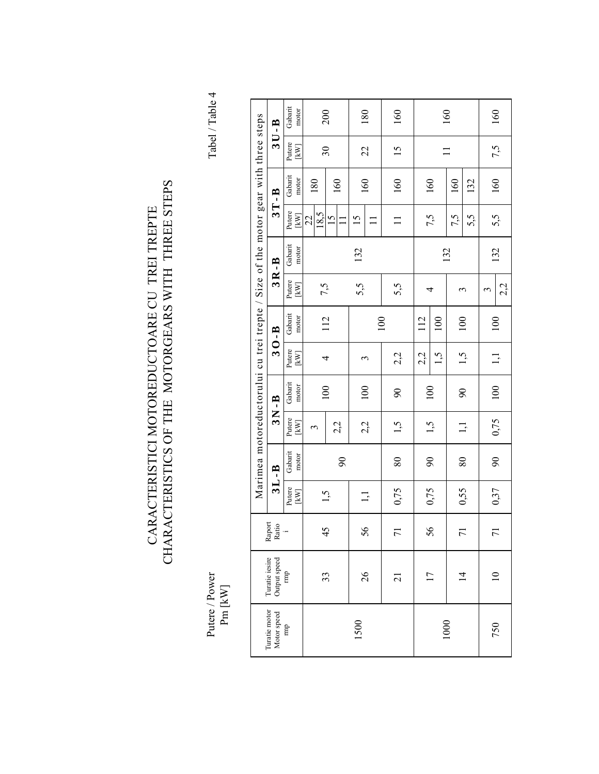# CARACTERISTICI MOTOREDUCTOARE CU TREI TREPTE<br>CHARACTERISTICS OF THE MOTORGEARS WITH THREE STEPS CHARACTERISTICS OF THE MOTORGEARS WITH THREE STEPS CARACTERISTICI MOTOREDUCTOARE CU TREI TREPTE

Putere / Power<br>Pm  $\left[\text{kW}\right]$ 

Tabel / Table 4 Putere / Power Power and Allen and Allen and Allen and Allen and Allen and Allen and Allen and Allen and Allen

|                                     |                                |                 |                                      |                          |                        |                  |                                  | Marimea motoreductorului cu trei trepte / Size of the motor gear with three steps |                                    |                  |                 |                  |                                  |                  |
|-------------------------------------|--------------------------------|-----------------|--------------------------------------|--------------------------|------------------------|------------------|----------------------------------|-----------------------------------------------------------------------------------|------------------------------------|------------------|-----------------|------------------|----------------------------------|------------------|
| Turatie motor<br>Motor speed<br>rmp | Turatie iesire<br>Output speed | Raport<br>Ratio |                                      | $3L - B$                 |                        | $3N-B$           |                                  | $30 - B$                                                                          |                                    | $3R - B$         |                 | $3T - B$         |                                  | $3U - B$         |
|                                     | mp                             |                 | Putere<br>$\left[\mathrm{kW}\right]$ | Gabarit<br>motor         | Putere<br>$[{\rm kW}]$ | Gabarit<br>motor | Putere<br>$\mathbb{K}\mathbb{W}$ | Gabarit<br>motor                                                                  | Putere<br>$\left[\text{kW}\right]$ | Gabarit<br>motor | Putere<br>kW    | Gabarit<br>motor | Putere<br>$\mathbb{K}\mathbb{W}$ | Gabarit<br>motor |
|                                     |                                |                 |                                      |                          | 3                      |                  |                                  |                                                                                   | 7,5                                |                  | 18.5<br>22      | 180              |                                  |                  |
|                                     | 33                             | 45              | 1,5                                  | $\delta$                 | 2,2                    | 100              | 4                                | 112                                                                               |                                    |                  | $\overline{15}$ | 160              | $30\,$                           | 200              |
| 1500                                | 26                             | 56              | $\Xi$                                |                          | 2,2                    | 100              | 3                                |                                                                                   | 5,5                                | 132              | 15              | 160              | 22                               | 180              |
|                                     | $\overline{c}$                 | $\overline{r}$  | 0,75                                 | 80                       | 1,5                    | $\overline{6}$   | 2,2                              | 100                                                                               | 5,5                                |                  | $\Xi$           | 160              | $\frac{15}{1}$                   | 160              |
|                                     |                                |                 |                                      |                          |                        |                  | 2,2                              | 112                                                                               |                                    |                  |                 |                  |                                  |                  |
|                                     | $\overline{17}$                | 56              | 0,75                                 | $\overline{\mathcal{L}}$ | 1,5                    | 100              | 1,5                              | 100                                                                               | 4                                  |                  | 7,5             | 160              |                                  |                  |
| 1000                                |                                |                 |                                      |                          |                        |                  |                                  |                                                                                   |                                    | 132              | 7,5             | 160              |                                  | 160              |
|                                     | $\overline{4}$                 | $\overline{r}$  | 0,55                                 | 80                       | $\Xi$                  | $\overline{6}$   | 1,5                              | 100                                                                               | 3                                  |                  | 5,5             | 132              |                                  |                  |
|                                     |                                | $\overline{r}$  |                                      |                          |                        |                  |                                  |                                                                                   | 3                                  |                  |                 |                  |                                  |                  |
| 750                                 | $\supseteq$                    |                 | 0,37                                 | $\overline{6}$           | 0,75                   | 100              | 1,1                              | 100                                                                               | 2,2                                | 132              | 5,5             | 160              | 7,5                              | 160              |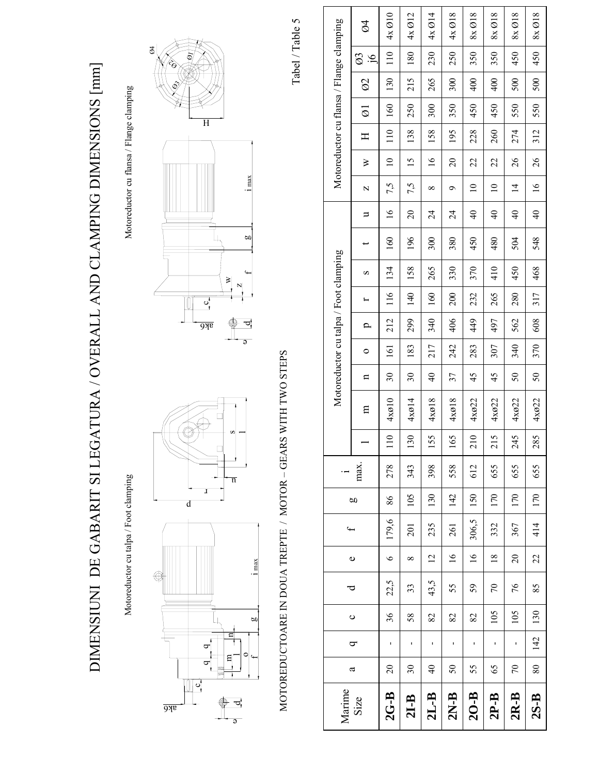

Motoreductor cu flansa / Flange clamping

Motoreductor cu flansa / Flange clamping

Motoreductor cu talpa / Foot clamping Motoreductor cu talpa / Foot clamping







Ø1

 $\hat{\mathbf{e}}$ 

Ø4

MOTOREDUCTOARE IN DOUA TREPTE / MOTOR – GEARS WITH TWO STEPS MOTOREDUCTOARE IN DOUA TREPTE / MOTOR - GEARS WITH TWO STEPS Tabel / Table 5 Tabel / Table 5

| Marime   |                          |                |         | ರ    |                 | $\ddot{}$ |     | $\cdot$ $-$ |                  |       |                 |         |              |     | Motoreductor cu talpa / Foot clamping |     |                 |                 |                 |     |                     | Motoreductor cu flansa / Flange clamping |                              |                          |
|----------|--------------------------|----------------|---------|------|-----------------|-----------|-----|-------------|------------------|-------|-----------------|---------|--------------|-----|---------------------------------------|-----|-----------------|-----------------|-----------------|-----|---------------------|------------------------------------------|------------------------------|--------------------------|
| Size     | a                        | $\sigma$       | $\circ$ |      | $\bullet$       |           | g   | max.        |                  | E     | $\mathbf{a}$    | $\circ$ | $\mathbf{a}$ |     | S                                     |     | ⋍               | N               | ≽               | Η   | $\overline{\omega}$ | $\otimes$                                | $\varnothing$<br>$\tilde{g}$ | $\overline{\mathcal{O}}$ |
| $2G-B$   | $\overline{c}$           | ı              | 36      | 22,5 | $\bullet$       | 179,6     | 86  | 278         | $\overline{110}$ | 4x010 | $\overline{30}$ | 161     | 212          | 116 | 134                                   | 160 | $\frac{6}{1}$   | 7,5             | $\overline{10}$ | 110 | 160                 | 130                                      | 110                          | 4x010                    |
| $2I-B$   | $\overline{\mathcal{E}}$ | ı              | 58      | 33   | $\infty$        | 201       | 105 | 343         | $\frac{3}{5}$    | 4x014 | $\overline{30}$ | 183     | 299          | 140 | 158                                   | 196 | $\overline{20}$ | 7,5             | $\frac{15}{2}$  | 138 | 250                 | 215                                      | 180                          | 4x 012                   |
| $2L-B$   | $\frac{4}{\sqrt{2}}$     | ı              | 82      | 43,5 | $\overline{2}$  | 235       | 130 | 398         | 155              | 4xø18 | $\overline{4}$  | 217     | 340          | 160 | 265                                   | 300 | $\overline{24}$ | $\infty$        | $\frac{6}{2}$   | 158 | 300                 | 265                                      | 230                          | 4x 014                   |
| $2N-B$   | $\overline{50}$          | ı              | 82      | 55   | $\frac{6}{1}$   | 261       | 142 | 558         | 165              | 4x018 | 37              | 242     | 406          | 200 | 330                                   | 380 | 24              | ó               | 20              | 195 | 350                 | 300                                      | 250                          | $4x \varnothing 18$      |
| $20 - B$ | 55                       | ı              | 82      | 59   | $\frac{16}{1}$  | 306,5     | 150 | 612         | 210              | 4x022 | 45              | 283     | 449          | 232 | 370                                   | 450 | $\frac{1}{4}$   | $\overline{10}$ | 22              | 228 | 450                 | 400                                      | 350                          | $8x \varnothing 18$      |
| $2P-B$   | 65                       | ı              | 105     | 70   | $\overline{18}$ | 332       | 170 | 655         | 215              | 4xø22 | 45              | 307     | 497          | 265 | 410                                   | 480 | $\frac{1}{2}$   | $\overline{10}$ | 22              | 260 | 450                 | 400                                      | 350                          | $8x \varnothing 18$      |
| $2R-B$   | $\mathcal{L}$            | $\blacksquare$ | 105     | 76   | $\overline{20}$ | 367       | 170 | 655         | 245              | 4x022 | $\overline{50}$ | 340     | 562          | 280 | 450                                   | 504 | $\frac{1}{4}$   | $\overline{4}$  | 26              | 274 | 550                 | 500                                      | 450                          | 8x 018                   |
| $2S-B$   | 80                       | 142            | 130     | 85   | 22              | 414       | 170 | 655         | 285              | 4x022 | $\mathcal{S}$   | 370     | 608          | 317 | 468                                   | 548 | $\frac{1}{4}$   | $\frac{6}{1}$   | 26              | 312 | 550                 | 500                                      | 450                          | $8x \varnothing 18$      |